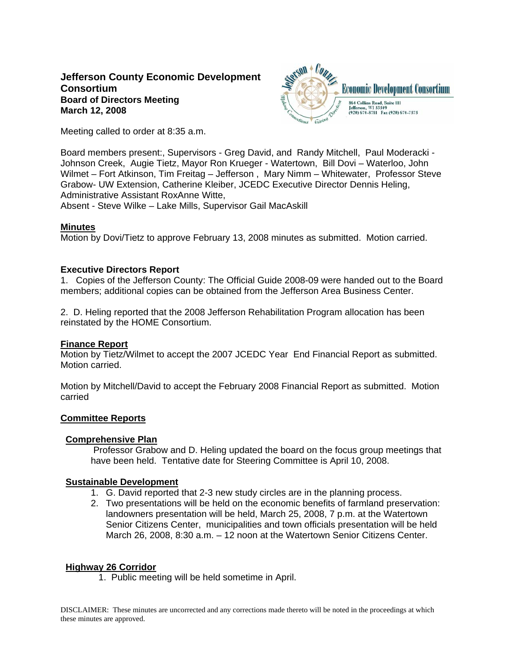# **Jefferson County Economic Development Consortium Board of Directors Meeting March 12, 2008**



Meeting called to order at 8:35 a.m.

Board members present:, Supervisors - Greg David, and Randy Mitchell, Paul Moderacki - Johnson Creek, Augie Tietz, Mayor Ron Krueger - Watertown, Bill Dovi – Waterloo, John Wilmet – Fort Atkinson, Tim Freitag – Jefferson , Mary Nimm – Whitewater, Professor Steve Grabow- UW Extension, Catherine Kleiber, JCEDC Executive Director Dennis Heling, Administrative Assistant RoxAnne Witte,

Absent - Steve Wilke – Lake Mills, Supervisor Gail MacAskill

## **Minutes**

Motion by Dovi/Tietz to approve February 13, 2008 minutes as submitted. Motion carried.

## **Executive Directors Report**

1. Copies of the Jefferson County: The Official Guide 2008-09 were handed out to the Board members; additional copies can be obtained from the Jefferson Area Business Center.

2. D. Heling reported that the 2008 Jefferson Rehabilitation Program allocation has been reinstated by the HOME Consortium.

### **Finance Report**

Motion by Tietz/Wilmet to accept the 2007 JCEDC Year End Financial Report as submitted. Motion carried.

Motion by Mitchell/David to accept the February 2008 Financial Report as submitted. Motion carried

### **Committee Reports**

### **Comprehensive Plan**

 Professor Grabow and D. Heling updated the board on the focus group meetings that have been held. Tentative date for Steering Committee is April 10, 2008.

### **Sustainable Development**

- 1. G. David reported that 2-3 new study circles are in the planning process.
- 2. Two presentations will be held on the economic benefits of farmland preservation: landowners presentation will be held, March 25, 2008, 7 p.m. at the Watertown Senior Citizens Center, municipalities and town officials presentation will be held March 26, 2008, 8:30 a.m. – 12 noon at the Watertown Senior Citizens Center.

# **Highway 26 Corridor**

1. Public meeting will be held sometime in April.

DISCLAIMER: These minutes are uncorrected and any corrections made thereto will be noted in the proceedings at which these minutes are approved.